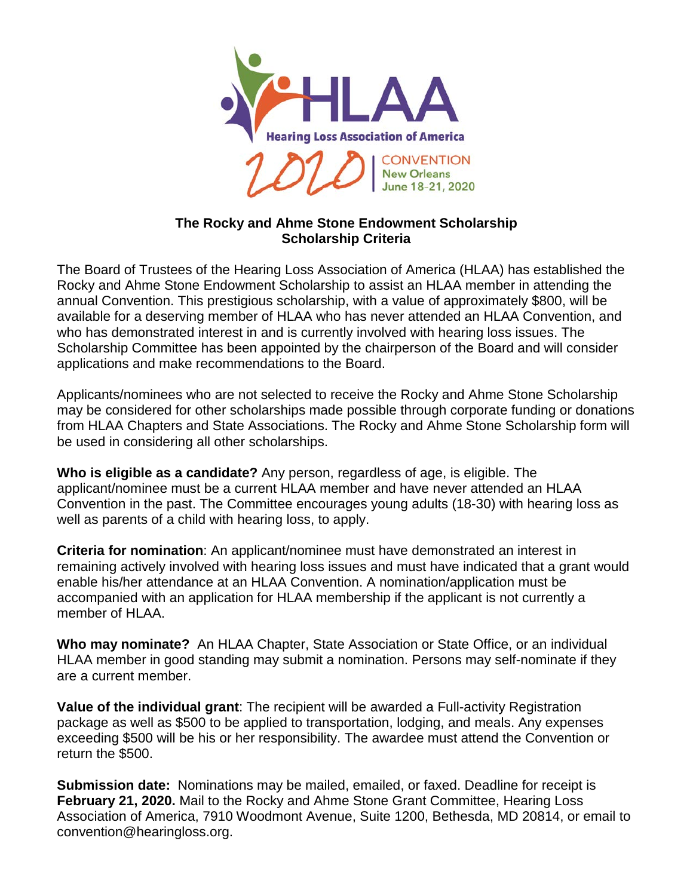

## **The Rocky and Ahme Stone Endowment Scholarship Scholarship Criteria**

The Board of Trustees of the Hearing Loss Association of America (HLAA) has established the Rocky and Ahme Stone Endowment Scholarship to assist an HLAA member in attending the annual Convention. This prestigious scholarship, with a value of approximately \$800, will be available for a deserving member of HLAA who has never attended an HLAA Convention, and who has demonstrated interest in and is currently involved with hearing loss issues. The Scholarship Committee has been appointed by the chairperson of the Board and will consider applications and make recommendations to the Board.

Applicants/nominees who are not selected to receive the Rocky and Ahme Stone Scholarship may be considered for other scholarships made possible through corporate funding or donations from HLAA Chapters and State Associations. The Rocky and Ahme Stone Scholarship form will be used in considering all other scholarships.

**Who is eligible as a candidate?** Any person, regardless of age, is eligible. The applicant/nominee must be a current HLAA member and have never attended an HLAA Convention in the past. The Committee encourages young adults (18-30) with hearing loss as well as parents of a child with hearing loss, to apply.

**Criteria for nomination**: An applicant/nominee must have demonstrated an interest in remaining actively involved with hearing loss issues and must have indicated that a grant would enable his/her attendance at an HLAA Convention. A nomination/application must be accompanied with an application for HLAA membership if the applicant is not currently a member of HLAA.

**Who may nominate?** An HLAA Chapter, State Association or State Office, or an individual HLAA member in good standing may submit a nomination. Persons may self-nominate if they are a current member.

**Value of the individual grant**: The recipient will be awarded a Full-activity Registration package as well as \$500 to be applied to transportation, lodging, and meals. Any expenses exceeding \$500 will be his or her responsibility. The awardee must attend the Convention or return the \$500.

**Submission date:** Nominations may be mailed, emailed, or faxed. Deadline for receipt is **February 21, 2020.** Mail to the Rocky and Ahme Stone Grant Committee, Hearing Loss Association of America, 7910 Woodmont Avenue, Suite 1200, Bethesda, MD 20814, or email to convention@hearingloss.org.